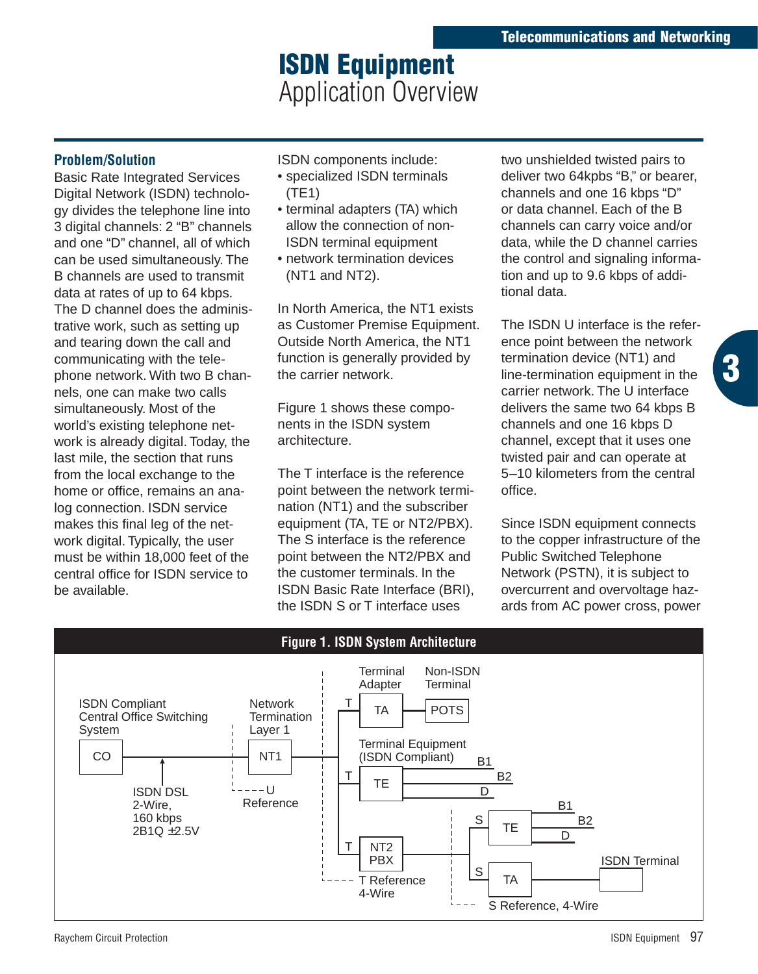# **ISDN Equipment**  Application Overview

#### **Problem/Solution**

Basic Rate Integrated Services Digital Network (ISDN) technology divides the telephone line into 3 digital channels: 2 "B" channels and one "D" channel, all of which can be used simultaneously. The B channels are used to transmit data at rates of up to 64 kbps. The D channel does the administrative work, such as setting up and tearing down the call and communicating with the telephone network. With two B channels, one can make two calls simultaneously. Most of the world's existing telephone network is already digital. Today, the last mile, the section that runs from the local exchange to the home or office, remains an analog connection. ISDN service makes this final leg of the network digital. Typically, the user must be within 18,000 feet of the central office for ISDN service to be available.

ISDN components include:

- specialized ISDN terminals (TE1)
- terminal adapters (TA) which allow the connection of non-ISDN terminal equipment
- network termination devices (NT1 and NT2).

In North America, the NT1 exists as Customer Premise Equipment. Outside North America, the NT1 function is generally provided by the carrier network.

Figure 1 shows these components in the ISDN system architecture.

The T interface is the reference point between the network termination (NT1) and the subscriber equipment (TA, TE or NT2/PBX). The S interface is the reference point between the NT2/PBX and the customer terminals. In the ISDN Basic Rate Interface (BRI), the ISDN S or T interface uses

two unshielded twisted pairs to deliver two 64kpbs "B," or bearer, channels and one 16 kbps "D" or data channel. Each of the B channels can carry voice and/or data, while the D channel carries the control and signaling information and up to 9.6 kbps of additional data.

The ISDN U interface is the reference point between the network termination device (NT1) and line-termination equipment in the carrier network. The U interface delivers the same two 64 kbps B channels and one 16 kbps D channel, except that it uses one twisted pair and can operate at 5–10 kilometers from the central office.

**3**

Since ISDN equipment connects to the copper infrastructure of the Public Switched Telephone Network (PSTN), it is subject to overcurrent and overvoltage hazards from AC power cross, power